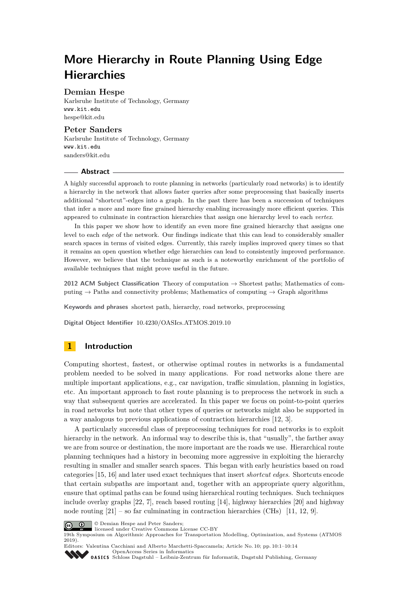# **More Hierarchy in Route Planning Using Edge Hierarchies**

## **Demian Hespe**

Karlsruhe Institute of Technology, Germany <www.kit.edu> [hespe@kit.edu](mailto:hespe@kit.edu)

## **Peter Sanders**

Karlsruhe Institute of Technology, Germany <www.kit.edu> [sanders@kit.edu](mailto:sanders@kit.edu)

#### **Abstract**

A highly successful approach to route planning in networks (particularly road networks) is to identify a hierarchy in the network that allows faster queries after some preprocessing that basically inserts additional "shortcut"-edges into a graph. In the past there has been a succession of techniques that infer a more and more fine grained hierarchy enabling increasingly more efficient queries. This appeared to culminate in contraction hierarchies that assign one hierarchy level to each *vertex*.

In this paper we show how to identify an even more fine grained hierarchy that assigns one level to each *edge* of the network. Our findings indicate that this can lead to considerably smaller search spaces in terms of visited edges. Currently, this rarely implies improved query times so that it remains an open question whether edge hierarchies can lead to consistently improved performance. However, we believe that the technique as such is a noteworthy enrichment of the portfolio of available techniques that might prove useful in the future.

**2012 ACM Subject Classification** Theory of computation → Shortest paths; Mathematics of computing  $\rightarrow$  Paths and connectivity problems; Mathematics of computing  $\rightarrow$  Graph algorithms

**Keywords and phrases** shortest path, hierarchy, road networks, preprocessing

**Digital Object Identifier** [10.4230/OASIcs.ATMOS.2019.10](https://doi.org/10.4230/OASIcs.ATMOS.2019.10)

# **1 Introduction**

Computing shortest, fastest, or otherwise optimal routes in networks is a fundamental problem needed to be solved in many applications. For road networks alone there are multiple important applications, e.g., car navigation, traffic simulation, planning in logistics, etc. An important approach to fast route planning is to preprocess the network in such a way that subsequent queries are accelerated. In this paper we focus on point-to-point queries in road networks but note that other types of queries or networks might also be supported in a way analogous to previous applications of contraction hierarchies [\[12,](#page-12-0) [3\]](#page-12-1).

A particularly successful class of preprocessing techniques for road networks is to exploit hierarchy in the network. An informal way to describe this is, that "usually", the farther away we are from source or destination, the more important are the roads we use. Hierarchical route planning techniques had a history in becoming more aggressive in exploiting the hierarchy resulting in smaller and smaller search spaces. This began with early heuristics based on road categories [\[15,](#page-12-2) [16\]](#page-12-3) and later used exact techniques that insert *shortcut edges*. Shortcuts encode that certain subpaths are important and, together with an appropriate query algorithm, ensure that optimal paths can be found using hierarchical routing techniques. Such techniques include overlay graphs [\[22,](#page-13-0) [7\]](#page-12-4), reach based routing [\[14\]](#page-12-5), highway hierarchies [\[20\]](#page-13-1) and highway node routing  $[21]$  – so far culminating in contraction hierarchies (CHs)  $[11, 12, 9]$  $[11, 12, 9]$  $[11, 12, 9]$ .



© Demian Hespe and Peter Sanders;

licensed under Creative Commons License CC-BY

19th Symposium on Algorithmic Approaches for Transportation Modelling, Optimization, and Systems (ATMOS 2019).

Editors: Valentina Cacchiani and Alberto Marchetti-Spaccamela; Article No. 10; pp. 10:1–10[:14](#page-13-3) [OpenAccess Series in Informatics](https://www.dagstuhl.de/oasics/) OASICS [Schloss Dagstuhl – Leibniz-Zentrum für Informatik, Dagstuhl Publishing, Germany](https://www.dagstuhl.de)

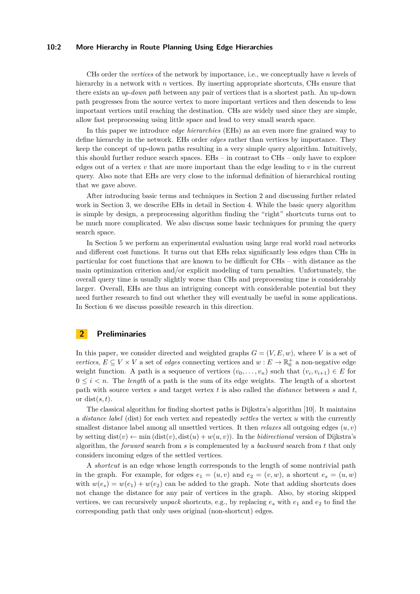#### **10:2 More Hierarchy in Route Planning Using Edge Hierarchies**

CHs order the *vertices* of the network by importance, i.e., we conceptually have *n* levels of hierarchy in a network with *n* vertices. By inserting appropriate shortcuts, CHs ensure that there exists an *up-down path* between any pair of vertices that is a shortest path. An up-down path progresses from the source vertex to more important vertices and then descends to less important vertices until reaching the destination. CHs are widely used since they are simple, allow fast preprocessing using little space and lead to very small search space.

In this paper we introduce *edge hierarchies* (EHs) as an even more fine grained way to define hierarchy in the network. EHs order *edges* rather than vertices by importance. They keep the concept of up-down paths resulting in a very simple query algorithm. Intuitively, this should further reduce search spaces. EHs – in contrast to CHs – only have to explore edges out of a vertex  $v$  that are more important than the edge leading to  $v$  in the current query. Also note that EHs are very close to the informal definition of hierarchical routing that we gave above.

After introducing basic terms and techniques in Section [2](#page-1-0) and discussing further related work in Section [3,](#page-2-0) we describe EHs in detail in Section [4.](#page-2-1) While the basic query algorithm is simple by design, a preprocessing algorithm finding the "right" shortcuts turns out to be much more complicated. We also discuss some basic techniques for pruning the query search space.

In Section [5](#page-6-0) we perform an experimental evaluation using large real world road networks and different cost functions. It turns out that EHs relax significantly less edges than CHs in particular for cost functions that are known to be difficult for CHs – with distance as the main optimization criterion and/or explicit modeling of turn penalties. Unfortunately, the overall query time is usually slightly worse than CHs and preprocessing time is considerably larger. Overall, EHs are thus an intriguing concept with considerable potential but they need further research to find out whether they will eventually be useful in some applications. In Section [6](#page-10-0) we discuss possible research in this direction.

### <span id="page-1-0"></span>**2 Preliminaries**

In this paper, we consider directed and weighted graphs  $G = (V, E, w)$ , where *V* is a set of *vertices*,  $E \subseteq V \times V$  a set of *edges* connecting vertices and  $w : E \to \mathbb{R}_0^+$  a non-negative edge weight function. A path is a sequence of vertices  $(v_0, \ldots, v_n)$  such that  $(v_i, v_{i+1}) \in E$  for  $0 \leq i \leq n$ . The *length* of a path is the sum of its edge weights. The length of a shortest path with source vertex *s* and target vertex *t* is also called the *distance* between *s* and *t*, or dist(*s, t*).

The classical algorithm for finding shortest paths is Dijkstra's algorithm [\[10\]](#page-12-8). It maintains a *distance label* (dist) for each vertex and repeatedly *settles* the vertex *u* with the currently smallest distance label among all unsettled vertices. It then *relaxes* all outgoing edges  $(u, v)$ by setting  $dist(v) \leftarrow min (dist(v), dist(u) + w(u, v))$ . In the *bidirectional* version of Dijkstra's algorithm, the *forward* search from *s* is complemented by a *backward* search from *t* that only considers incoming edges of the settled vertices.

A *shortcut* is an edge whose length corresponds to the length of some nontrivial path in the graph. For example, for edges  $e_1 = (u, v)$  and  $e_2 = (v, w)$ , a shortcut  $e_s = (u, w)$ with  $w(e_s) = w(e_1) + w(e_2)$  can be added to the graph. Note that adding shortcuts does not change the distance for any pair of vertices in the graph. Also, by storing skipped vertices, we can recursively *unpack* shortcuts, e.g., by replacing  $e_s$  with  $e_1$  and  $e_2$  to find the corresponding path that only uses original (non-shortcut) edges.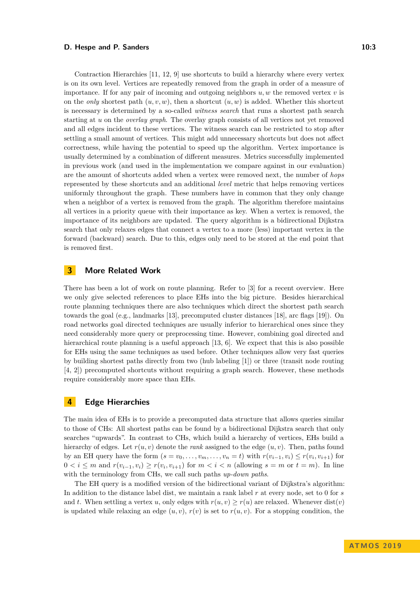#### **D. Hespe and P. Sanders 10:3 10:3**

Contraction Hierarchies [\[11,](#page-12-6) [12,](#page-12-0) [9\]](#page-12-7) use shortcuts to build a hierarchy where every vertex is on its own level. Vertices are repeatedly removed from the graph in order of a measure of importance. If for any pair of incoming and outgoing neighbors  $u, w$  the removed vertex  $v$  is on the *only* shortest path  $(u, v, w)$ , then a shortcut  $(u, w)$  is added. Whether this shortcut is necessary is determined by a so-called *witness search* that runs a shortest path search starting at *u* on the *overlay graph*. The overlay graph consists of all vertices not yet removed and all edges incident to these vertices. The witness search can be restricted to stop after settling a small amount of vertices. This might add unnecessary shortcuts but does not affect correctness, while having the potential to speed up the algorithm. Vertex importance is usually determined by a combination of different measures. Metrics successfully implemented in previous work (and used in the implementation we compare against in our evaluation) are the amount of shortcuts added when a vertex were removed next, the number of *hops* represented by these shortcuts and an additional *level* metric that helps removing vertices uniformly throughout the graph. These numbers have in common that they only change when a neighbor of a vertex is removed from the graph. The algorithm therefore maintains all vertices in a priority queue with their importance as key. When a vertex is removed, the importance of its neighbors are updated. The query algorithm is a bidirectional Dijkstra search that only relaxes edges that connect a vertex to a more (less) important vertex in the forward (backward) search. Due to this, edges only need to be stored at the end point that is removed first.

## <span id="page-2-0"></span>**3 More Related Work**

There has been a lot of work on route planning. Refer to [\[3\]](#page-12-1) for a recent overview. Here we only give selected references to place EHs into the big picture. Besides hierarchical route planning techniques there are also techniques which direct the shortest path search towards the goal (e.g., landmarks [\[13\]](#page-12-9), precomputed cluster distances [\[18\]](#page-12-10), arc flags [\[19\]](#page-13-4)). On road networks goal directed techniques are usually inferior to hierarchical ones since they need considerably more query or preprocessing time. However, combining goal directed and hierarchical route planning is a useful approach [\[13,](#page-12-9) [6\]](#page-12-11). We expect that this is also possible for EHs using the same techniques as used before. Other techniques allow very fast queries by building shortest paths directly from two (hub labeling [\[1\]](#page-12-12)) or three (transit node routing [\[4,](#page-12-13) [2\]](#page-12-14)) precomputed shortcuts without requiring a graph search. However, these methods require considerably more space than EHs.

### <span id="page-2-1"></span>**4 Edge Hierarchies**

The main idea of EHs is to provide a precomputed data structure that allows queries similar to those of CHs: All shortest paths can be found by a bidirectional Dijkstra search that only searches "upwards". In contrast to CHs, which build a hierarchy of vertices, EHs build a hierarchy of edges. Let  $r(u, v)$  denote the *rank* assigned to the edge  $(u, v)$ . Then, paths found by an EH query have the form  $(s = v_0, \ldots, v_m, \ldots, v_n = t)$  with  $r(v_{i-1}, v_i) \leq r(v_i, v_{i+1})$  for  $0 < i \leq m$  and  $r(v_{i-1}, v_i) ≥ r(v_i, v_{i+1})$  for  $m < i < n$  (allowing  $s = m$  or  $t = m$ ). In line with the terminology from CHs, we call such paths *up-down paths*.

The EH query is a modified version of the bidirectional variant of Dijkstra's algorithm: In addition to the distance label dist, we maintain a rank label *r* at every node, set to 0 for *s* and *t*. When settling a vertex *u*, only edges with  $r(u, v) \geq r(u)$  are relaxed. Whenever dist(*v*) is updated while relaxing an edge  $(u, v)$ ,  $r(v)$  is set to  $r(u, v)$ . For a stopping condition, the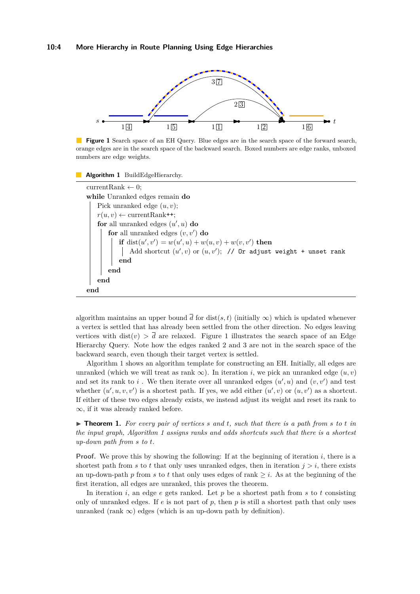<span id="page-3-0"></span>

**Figure 1** Search space of an EH Query. Blue edges are in the search space of the forward search, orange edges are in the search space of the backward search. Boxed numbers are edge ranks, unboxed numbers are edge weights.



currentRank  $\leftarrow 0$ ; **while** Unranked edges remain **do** Pick unranked edge (*u, v*);  $r(u, v) \leftarrow \text{currentRank++};$ **for** all unranked edges  $(u', u)$  **do for** all unranked edges  $(v, v')$  **do if** dist $(u', v') = w(u', u) + w(u, v) + w(v, v')$  then Add shortcut  $(u', v)$  or  $(u, v')$ ; // Or adjust weight + unset rank **end end end end**

<span id="page-3-1"></span>algorithm maintains an upper bound  $\overline{d}$  for dist(*s, t*) (initially  $\infty$ ) which is updated whenever a vertex is settled that has already been settled from the other direction. No edges leaving vertices with dist(*v*)  $> \overline{d}$  are relaxed. Figure [1](#page-3-0) illustrates the search space of an Edge Hierarchy Query. Note how the edges ranked 2 and 3 are not in the search space of the backward search, even though their target vertex is settled.

Algorithm [1](#page-3-1) shows an algorithm template for constructing an EH. Initially, all edges are unranked (which we will treat as rank  $\infty$ ). In iteration *i*, we pick an unranked edge  $(u, v)$ and set its rank to  $i$ . We then iterate over all unranked edges  $(u', u)$  and  $(v, v')$  and test whether  $(u', u, v, v')$  is a shortest path. If yes, we add either  $(u', v)$  or  $(u, v')$  as a shortcut. If either of these two edges already exists, we instead adjust its weight and reset its rank to ∞, if it was already ranked before.

 $\triangleright$  **Theorem 1.** For every pair of vertices s and t, such that there is a path from s to t in *the input graph, Algorithm [1](#page-3-1) assigns ranks and adds shortcuts such that there is a shortest up-down path from s to t.*

**Proof.** We prove this by showing the following: If at the beginning of iteration *i*, there is a shortest path from  $s$  to  $t$  that only uses unranked edges, then in iteration  $j > i$ , there exists an up-down-path  $p$  from  $s$  to  $t$  that only uses edges of rank  $\geq i$ . As at the beginning of the first iteration, all edges are unranked, this proves the theorem.

In iteration *i*, an edge *e* gets ranked. Let *p* be a shortest path from *s* to *t* consisting only of unranked edges. If  $e$  is not part of  $p$ , then  $p$  is still a shortest path that only uses unranked (rank  $\infty$ ) edges (which is an up-down path by definition).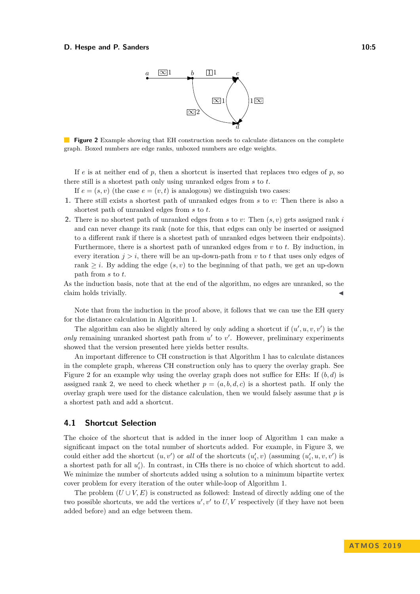

<span id="page-4-0"></span>**Figure 2** Example showing that EH construction needs to calculate distances on the complete graph. Boxed numbers are edge ranks, unboxed numbers are edge weights.

If  $e$  is at neither end of  $p$ , then a shortcut is inserted that replaces two edges of  $p$ , so there still is a shortest path only using unranked edges from *s* to *t*.

If  $e = (s, v)$  (the case  $e = (v, t)$  is analogous) we distinguish two cases:

- **1.** There still exists a shortest path of unranked edges from *s* to *v*: Then there is also a shortest path of unranked edges from *s* to *t*.
- **2.** There is no shortest path of unranked edges from *s* to *v*: Then (*s, v*) gets assigned rank *i* and can never change its rank (note for this, that edges can only be inserted or assigned to a different rank if there is a shortest path of unranked edges between their endpoints). Furthermore, there is a shortest path of unranked edges from *v* to *t*. By induction, in every iteration  $j > i$ , there will be an up-down-path from  $v$  to  $t$  that uses only edges of rank  $\geq i$ . By adding the edge  $(s, v)$  to the beginning of that path, we get an up-down path from *s* to *t*.

As the induction basis, note that at the end of the algorithm, no edges are unranked, so the claim holds trivially.

Note that from the induction in the proof above, it follows that we can use the EH query for the distance calculation in Algorithm [1.](#page-3-1)

The algorithm can also be slightly altered by only adding a shortcut if  $(u', u, v, v')$  is the only remaining unranked shortest path from  $u'$  to  $v'$ . However, preliminary experiments showed that the version presented here yields better results.

An important difference to CH construction is that Algorithm [1](#page-3-1) has to calculate distances in the complete graph, whereas CH construction only has to query the overlay graph. See Figure [2](#page-4-0) for an example why using the overlay graph does not suffice for EHs: If (*b, d*) is assigned rank 2, we need to check whether  $p = (a, b, d, c)$  is a shortest path. If only the overlay graph were used for the distance calculation, then we would falsely assume that *p* is a shortest path and add a shortcut.

#### **4.1 Shortcut Selection**

The choice of the shortcut that is added in the inner loop of Algorithm [1](#page-3-1) can make a significant impact on the total number of shortcuts added. For example, in Figure [3,](#page-5-0) we could either add the shortcut  $(u, v')$  or *all* of the shortcuts  $(u'_i, v)$  (assuming  $(u'_i, u, v, v')$  is a shortest path for all  $u'_i$ ). In contrast, in CHs there is no choice of which shortcut to add. We minimize the number of shortcuts added using a solution to a minimum bipartite vertex cover problem for every iteration of the outer while-loop of Algorithm [1.](#page-3-1)

The problem  $(U \cup V, E)$  is constructed as followed: Instead of directly adding one of the two possible shortcuts, we add the vertices  $u', v'$  to  $U, V$  respectively (if they have not been added before) and an edge between them.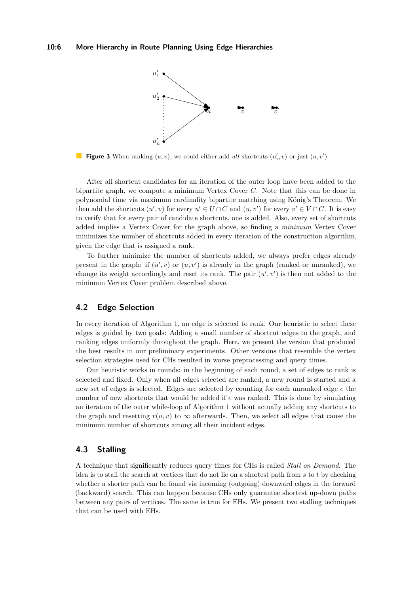<span id="page-5-0"></span>

**Figure 3** When ranking  $(u, v)$ , we could either add *all* shortcuts  $(u'_i, v)$  or just  $(u, v')$ .

After all shortcut candidates for an iteration of the outer loop have been added to the bipartite graph, we compute a minimum Vertex Cover *C*. Note that this can be done in polynomial time via maximum cardinality bipartite matching using König's Theorem. We then add the shortcuts  $(u', v)$  for every  $u' \in U \cap C$  and  $(u, v')$  for every  $v' \in V \cap C$ . It is easy to verify that for every pair of candidate shortcuts, one is added. Also, every set of shortcuts added implies a Vertex Cover for the graph above, so finding a *minimum* Vertex Cover minimizes the number of shortcuts added in every iteration of the construction algorithm, given the edge that is assigned a rank.

To further minimize the number of shortcuts added, we always prefer edges already present in the graph: if  $(u', v)$  or  $(u, v')$  is already in the graph (ranked or unranked), we change its weight accordingly and reset its rank. The pair  $(u', v')$  is then not added to the minimum Vertex Cover problem described above.

## **4.2 Edge Selection**

In every iteration of Algorithm [1,](#page-3-1) an edge is selected to rank. Our heuristic to select these edges is guided by two goals: Adding a small number of shortcut edges to the graph, and ranking edges uniformly throughout the graph. Here, we present the version that produced the best results in our preliminary experiments. Other versions that resemble the vertex selection strategies used for CHs resulted in worse preprocessing and query times.

Our heuristic works in rounds: in the beginning of each round, a set of edges to rank is selected and fixed. Only when all edges selected are ranked, a new round is started and a new set of edges is selected. Edges are selected by counting for each unranked edge *e* the number of new shortcuts that would be added if *e* was ranked. This is done by simulating an iteration of the outer while-loop of Algorithm [1](#page-3-1) without actually adding any shortcuts to the graph and resetting  $r(u, v)$  to  $\infty$  afterwards. Then, we select all edges that cause the minimum number of shortcuts among all their incident edges.

## <span id="page-5-1"></span>**4.3 Stalling**

A technique that significantly reduces query times for CHs is called *Stall on Demand*. The idea is to stall the search at vertices that do not lie on a shortest path from *s* to *t* by checking whether a shorter path can be found via incoming (outgoing) downward edges in the forward (backward) search. This can happen because CHs only guarantee shortest up-down paths between any pairs of vertices. The same is true for EHs. We present two stalling techniques that can be used with EHs.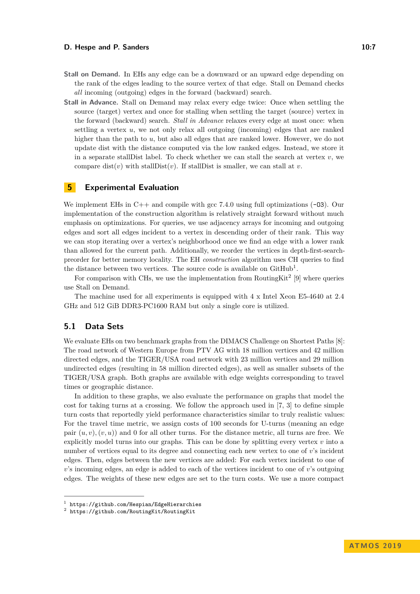#### **D. Hespe and P. Sanders 10:7 10:7 10:7**

- **Stall on Demand.** In EHs any edge can be a downward or an upward edge depending on the rank of the edges leading to the source vertex of that edge. Stall on Demand checks *all* incoming (outgoing) edges in the forward (backward) search.
- **Stall in Advance.** Stall on Demand may relax every edge twice: Once when settling the source (target) vertex and once for stalling when settling the target (source) vertex in the forward (backward) search. *Stall in Advance* relaxes every edge at most once: when settling a vertex *u*, we not only relax all outgoing (incoming) edges that are ranked higher than the path to *u*, but also all edges that are ranked lower. However, we do not update dist with the distance computed via the low ranked edges. Instead, we store it in a separate stallDist label. To check whether we can stall the search at vertex  $v$ , we compare dist(*v*) with stallDist(*v*). If stallDist is smaller, we can stall at *v*.

## <span id="page-6-0"></span>**5 Experimental Evaluation**

We implement EHs in  $C++$  and compile with gcc 7.4.0 using full optimizations ( $-03$ ). Our implementation of the construction algorithm is relatively straight forward without much emphasis on optimizations. For queries, we use adjacency arrays for incoming and outgoing edges and sort all edges incident to a vertex in descending order of their rank. This way we can stop iterating over a vertex's neighborhood once we find an edge with a lower rank than allowed for the current path. Additionally, we reorder the vertices in depth-first-searchpreorder for better memory locality. The EH *construction* algorithm uses CH queries to find the distance between two vertices. The source code is available on  $\text{GitHub}^1$  $\text{GitHub}^1$ .

For comparison with CHs, we use the implementation from RoutingKit<sup>[2](#page-6-2)</sup> [\[9\]](#page-12-7) where queries use Stall on Demand.

The machine used for all experiments is equipped with 4 x Intel Xeon E5-4640 at 2.4 GHz and 512 GiB DDR3-PC1600 RAM but only a single core is utilized.

### **5.1 Data Sets**

We evaluate EHs on two benchmark graphs from the DIMACS Challenge on Shortest Paths [\[8\]](#page-12-15): The road network of Western Europe from PTV AG with 18 million vertices and 42 million directed edges, and the TIGER/USA road network with 23 million vertices and 29 million undirected edges (resulting in 58 million directed edges), as well as smaller subsets of the TIGER/USA graph. Both graphs are available with edge weights corresponding to travel times or geographic distance.

In addition to these graphs, we also evaluate the performance on graphs that model the cost for taking turns at a crossing. We follow the approach used in [\[7,](#page-12-4) [3\]](#page-12-1) to define simple turn costs that reportedly yield performance characteristics similar to truly realistic values: For the travel time metric, we assign costs of 100 seconds for U-turns (meaning an edge pair  $(u, v)$ ,  $(v, u)$  and 0 for all other turns. For the distance metric, all turns are free. We explicitly model turns into our graphs. This can be done by splitting every vertex *v* into a number of vertices equal to its degree and connecting each new vertex to one of *v*'s incident edges. Then, edges between the new vertices are added: For each vertex incident to one of *v*'s incoming edges, an edge is added to each of the vertices incident to one of *v*'s outgoing edges. The weights of these new edges are set to the turn costs. We use a more compact

<span id="page-6-1"></span><sup>1</sup> <https://github.com/Hespian/EdgeHierarchies>

<span id="page-6-2"></span> $^2$  <https://github.com/RoutingKit/RoutingKit>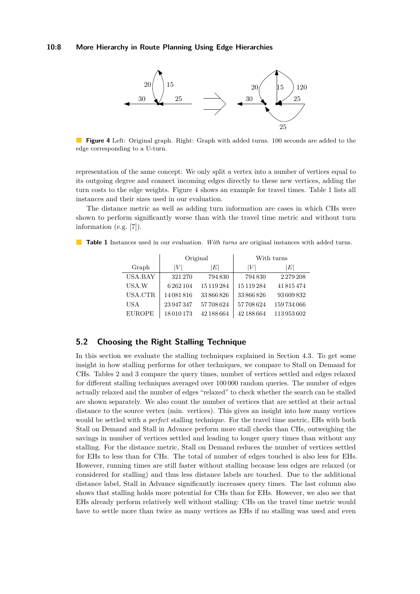#### <span id="page-7-0"></span>**10:8 More Hierarchy in Route Planning Using Edge Hierarchies**



**Figure 4** Left: Original graph. Right: Graph with added turns. 100 seconds are added to the edge corresponding to a U-turn.

representation of the same concept: We only split a vertex into a number of vertices equal to its outgoing degree and connect incoming edges directly to these new vertices, adding the turn costs to the edge weights. Figure [4](#page-7-0) shows an example for travel times. Table [1](#page-7-1) lists all instances and their sizes used in our evaluation.

The distance metric as well as adding turn information are cases in which CHs were shown to perform significantly worse than with the travel time metric and without turn information (e.g. [\[7\]](#page-12-4)).

|               |                  | Original   | With turns |               |  |  |  |
|---------------|------------------|------------|------------|---------------|--|--|--|
| Graph         | $\left V\right $ | $E\vert$   | ١V١        | ΙEΙ           |  |  |  |
| USA.BAY       | 321 270          | 794830     | 794830     | 2 2 7 9 2 0 8 |  |  |  |
| USA.W         | 6262104          | 15 119 284 | 15 119 284 | 41815474      |  |  |  |
| USA.CTR       | 14081816         | 33866826   | 33866826   | 93609832      |  |  |  |
| USA           | 23 947 347       | 57708624   | 57708624   | 159734066     |  |  |  |
| <b>EUROPE</b> | 18010173         | 42 188 664 | 42 188 664 | 113953602     |  |  |  |

<span id="page-7-1"></span>**Table 1** Instances used in our evaluation. *With turns* are original instances with added turns.

## **5.2 Choosing the Right Stalling Technique**

In this section we evaluate the stalling techniques explained in Section [4.3.](#page-5-1) To get some insight in how stalling performs for other techniques, we compare to Stall on Demand for CHs. Tables [2](#page-8-0) and [3](#page-8-1) compare the query times, number of vertices settled and edges relaxed for different stalling techniques averaged over 100 000 random queries. The number of edges actually relaxed and the number of edges "relaxed" to check whether the search can be stalled are shown separately. We also count the number of vertices that are settled at their actual distance to the source vertex (min. vertices). This gives an insight into how many vertices would be settled with a *perfect* stalling technique. For the travel time metric, EHs with both Stall on Demand and Stall in Advance perform more stall checks than CHs, outweighing the savings in number of vertices settled and leading to longer query times than without any stalling. For the distance metric, Stall on Demand reduces the number of vertices settled for EHs to less than for CHs. The total of number of edges touched is also less for EHs. However, running times are still faster without stalling because less edges are relaxed (or considered for stalling) and thus less distance labels are touched. Due to the additional distance label, Stall in Advance significantly increases query times. The last column also shows that stalling holds more potential for CHs than for EHs. However, we also see that EHs already perform relatively well without stalling: CHs on the travel time metric would have to settle more than twice as many vertices as EHs if no stalling was used and even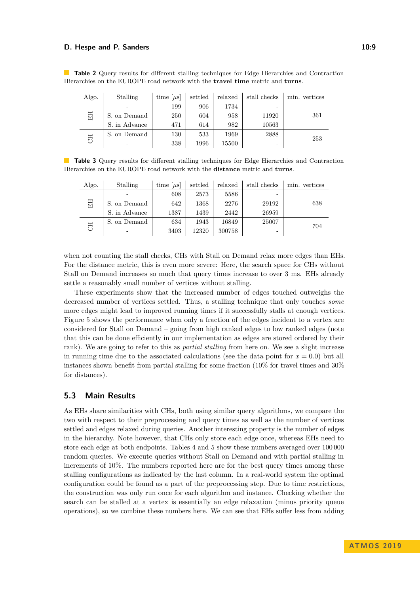#### **D. Hespe and P. Sanders 10:9 10:9**

| Algo.     | Stalling      | time [ $\mu$ s] | settled | relaxed | stall checks | min. vertices |
|-----------|---------------|-----------------|---------|---------|--------------|---------------|
|           |               | 199             | 906     | 1734    | -            |               |
| EH        | S. on Demand  | 250             | 604     | 958     | 11920        | 361           |
|           | S. in Advance | 471             | 614     | 982     | 10563        |               |
|           | S. on Demand  | 130             | 533     | 1969    | 2888         | 253           |
| <b>FD</b> |               | 338             | 1996    | 15500   | -            |               |

<span id="page-8-0"></span>**Table 2** Query results for different stalling techniques for Edge Hierarchies and Contraction Hierarchies on the EUROPE road network with the **travel time** metric and **turns**.

<span id="page-8-1"></span>**Table 3** Query results for different stalling techniques for Edge Hierarchies and Contraction Hierarchies on the EUROPE road network with the **distance** metric and **turns**.

| Algo.     | Stalling      | time [ $\mu$ s] | settled | relaxed | stall checks | min. vertices |
|-----------|---------------|-----------------|---------|---------|--------------|---------------|
|           |               | 608             | 2573    | 5586    |              |               |
| EH        | S. on Demand  | 642             | 1368    | 2276    | 29192        | 638           |
|           | S. in Advance | 1387            | 1439    | 2442    | 26959        |               |
| <b>FO</b> | S. on Demand  | 634             | 1943    | 16849   | 25007        | 704           |
|           | -             | 3403            | 12320   | 300758  |              |               |

when not counting the stall checks, CHs with Stall on Demand relax more edges than EHs. For the distance metric, this is even more severe: Here, the search space for CHs without Stall on Demand increases so much that query times increase to over 3 ms. EHs already settle a reasonably small number of vertices without stalling.

These experiments show that the increased number of edges touched outweighs the decreased number of vertices settled. Thus, a stalling technique that only touches *some* more edges might lead to improved running times if it successfully stalls at enough vertices. Figure [5](#page-9-0) shows the performance when only a fraction of the edges incident to a vertex are considered for Stall on Demand – going from high ranked edges to low ranked edges (note that this can be done efficiently in our implementation as edges are stored ordered by their rank). We are going to refer to this as *partial stalling* from here on. We see a slight increase in running time due to the associated calculations (see the data point for  $x = 0.0$ ) but all instances shown benefit from partial stalling for some fraction (10% for travel times and 30% for distances).

### **5.3 Main Results**

As EHs share similarities with CHs, both using similar query algorithms, we compare the two with respect to their preprocessing and query times as well as the number of vertices settled and edges relaxed during queries. Another interesting property is the number of edges in the hierarchy. Note however, that CHs only store each edge once, whereas EHs need to store each edge at both endpoints. Tables [4](#page-10-1) and [5](#page-10-2) show these numbers averaged over 100 000 random queries. We execute queries without Stall on Demand and with partial stalling in increments of 10%. The numbers reported here are for the best query times among these stalling configurations as indicated by the last column. In a real-world system the optimal configuration could be found as a part of the preprocessing step. Due to time restrictions, the construction was only run once for each algorithm and instance. Checking whether the search can be stalled at a vertex is essentially an edge relaxation (minus priority queue operations), so we combine these numbers here. We can see that EHs suffer less from adding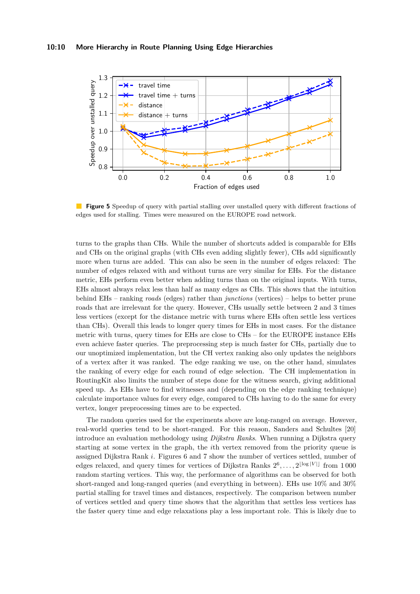<span id="page-9-0"></span>

**Figure 5** Speedup of query with partial stalling over unstalled query with different fractions of edges used for stalling. Times were measured on the EUROPE road network.

turns to the graphs than CHs. While the number of shortcuts added is comparable for EHs and CHs on the original graphs (with CHs even adding slightly fewer), CHs add significantly more when turns are added. This can also be seen in the number of edges relaxed: The number of edges relaxed with and without turns are very similar for EHs. For the distance metric, EHs perform even better when adding turns than on the original inputs. With turns, EHs almost always relax less than half as many edges as CHs. This shows that the intuition behind EHs – ranking *roads* (edges) rather than *junctions* (vertices) – helps to better prune roads that are irrelevant for the query. However, CHs usually settle between 2 and 3 times less vertices (except for the distance metric with turns where EHs often settle less vertices than CHs). Overall this leads to longer query times for EHs in most cases. For the distance metric with turns, query times for EHs are close to CHs – for the EUROPE instance EHs even achieve faster queries. The preprocessing step is much faster for CHs, partially due to our unoptimized implementation, but the CH vertex ranking also only updates the neighbors of a vertex after it was ranked. The edge ranking we use, on the other hand, simulates the ranking of every edge for each round of edge selection. The CH implementation in RoutingKit also limits the number of steps done for the witness search, giving additional speed up. As EHs have to find witnesses and (depending on the edge ranking technique) calculate importance values for every edge, compared to CHs having to do the same for every vertex, longer preprocessing times are to be expected.

The random queries used for the experiments above are long-ranged on average. However, real-world queries tend to be short-ranged. For this reason, Sanders and Schultes [\[20\]](#page-13-1) introduce an evaluation methodology using *Dijkstra Ranks*. When running a Dijkstra query starting at some vertex in the graph, the *i*th vertex removed from the priority queue is assigned Dijkstra Rank *i*. Figures [6](#page-11-0) and [7](#page-11-0) show the number of vertices settled, number of edges relaxed, and query times for vertices of Dijkstra Ranks  $2^6, \ldots, 2^{\lfloor \log |V| \rfloor}$  from 1000 random starting vertices. This way, the performance of algorithms can be observed for both short-ranged and long-ranged queries (and everything in between). EHs use 10% and 30% partial stalling for travel times and distances, respectively. The comparison between number of vertices settled and query time shows that the algorithm that settles less vertices has the faster query time and edge relaxations play a less important role. This is likely due to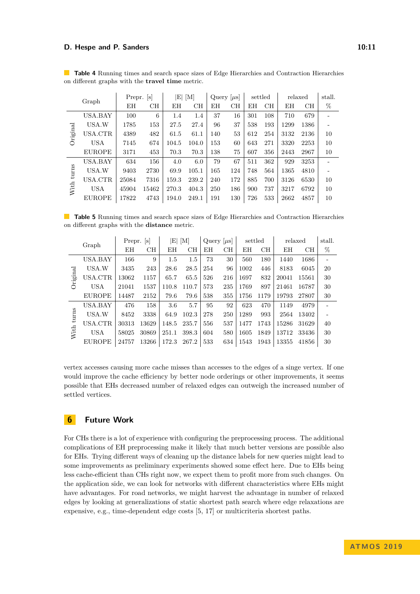| Graph      |               | Prepr. | $ {\bf s} $ | $ {\rm E} \ [{\rm M}]$ |       | Query $ \mu s $ |     | settled |     | relaxed |           | stall. |
|------------|---------------|--------|-------------|------------------------|-------|-----------------|-----|---------|-----|---------|-----------|--------|
|            |               | ΕH     | CН          | ΕH                     | CH    | ΕH              | CН  | ΕH      | CH  | ΕH      | <b>CH</b> | %      |
|            | USA.BAY       | 100    | 6           | 1.4                    | 1.4   | 37              | 16  | 301     | 108 | 710     | 679       |        |
|            | USA.W         | 1785   | 153         | 27.5                   | 27.4  | 96              | 37  | 538     | 193 | 1299    | 1386      |        |
| Original   | USA.CTR       | 4389   | 482         | 61.5                   | 61.1  | 140             | 53  | 612     | 254 | 3132    | 2136      | 10     |
|            | <b>USA</b>    | 7145   | 674         | 104.5                  | 104.0 | 153             | 60  | 643     | 271 | 3320    | 2253      | 10     |
|            | <b>EUROPE</b> | 3171   | 453         | 70.3                   | 70.3  | 138             | 75  | 607     | 356 | 2443    | 2967      | 10     |
|            | USA.BAY       | 634    | 156         | 4.0                    | 6.0   | 79              | 67  | 511     | 362 | 929     | 3253      |        |
| With turns | USA.W         | 9403   | 2730        | 69.9                   | 105.1 | 165             | 124 | 748     | 564 | 1365    | 4810      |        |
|            | USA.CTR       | 25084  | 7316        | 159.3                  | 239.2 | 240             | 172 | 885     | 700 | 3126    | 6530      | 10     |
|            | USA           | 45904  | 15462       | 270.3                  | 404.3 | 250             | 186 | 900     | 737 | 3217    | 6792      | 10     |
|            | <b>EUROPE</b> | 17822  | 4743        | 194.0                  | 249.1 | 191             | 130 | 726     | 533 | 2662    | 4857      | 10     |

<span id="page-10-1"></span>**Table 4** Running times and search space sizes of Edge Hierarchies and Contraction Hierarchies on different graphs with the **travel time** metric.

<span id="page-10-2"></span>**Table 5** Running times and search space sizes of Edge Hierarchies and Contraction Hierarchies on different graphs with the **distance** metric.

| Graph  |               | Prepr. | $ {\bf s} $ | $ {\rm E} \; [{\rm M}]$ |       | Query $ \mu s $ |     | settled |           | relaxed |           | stall. |
|--------|---------------|--------|-------------|-------------------------|-------|-----------------|-----|---------|-----------|---------|-----------|--------|
|        |               | ΕH     | <b>CH</b>   | ΕH                      | CH    | ΕH              | CH  | ΕH      | <b>CH</b> | ΕH      | <b>CH</b> | %      |
|        | USA.BAY       | 166    | 9           | 1.5                     | 1.5   | 73              | 30  | 560     | 180       | 1440    | 1686      |        |
|        | USA.W         | 3435   | 243         | 28.6                    | 28.5  | 254             | 96  | 1002    | 446       | 8183    | 6045      | 20     |
| iginal | USA.CTR       | 13062  | 1157        | 65.7                    | 65.5  | 526             | 216 | 1697    | 832       | 20041   | 15561     | 30     |
| Ë      | <b>USA</b>    | 21041  | 1537        | 110.8                   | 110.7 | 573             | 235 | 1769    | 897       | 21461   | 16787     | 30     |
|        | <b>EUROPE</b> | 14487  | 2152        | 79.6                    | 79.6  | 538             | 355 | 1756    | 1179      | 19793   | 27807     | 30     |
|        | USA.BAY       | 476    | 158         | 3.6                     | 5.7   | 95              | 92  | 623     | 470       | 1149    | 4979      |        |
| turns  | USA.W         | 8452   | 3338        | 64.9                    | 102.3 | 278             | 250 | 1289    | 993       | 2564    | 13402     |        |
|        | USA.CTR       | 30313  | 13629       | 148.5                   | 235.7 | 556             | 537 | 1477    | 1743      | 15286   | 31629     | 40     |
| With   | <b>USA</b>    | 58025  | 30869       | 251.1                   | 398.3 | 604             | 580 | 1605    | 1849      | 13712   | 33436     | 30     |
|        | <b>EUROPE</b> | 24757  | 13266       | 172.3                   | 267.2 | 533             | 634 | 1543    | 1943      | 13355   | 41856     | 30     |

vertex accesses causing more cache misses than accesses to the edges of a singe vertex. If one would improve the cache efficiency by better node orderings or other improvements, it seems possible that EHs decreased number of relaxed edges can outweigh the increased number of settled vertices.

# <span id="page-10-0"></span>**6 Future Work**

For CHs there is a lot of experience with configuring the preprocessing process. The additional complications of EH preprocessing make it likely that much better versions are possible also for EHs. Trying different ways of cleaning up the distance labels for new queries might lead to some improvements as preliminary experiments showed some effect here. Due to EHs being less cache-efficient than CHs right now, we expect them to profit more from such changes. On the application side, we can look for networks with different characteristics where EHs might have advantages. For road networks, we might harvest the advantage in number of relaxed edges by looking at generalizations of static shortest path search where edge relaxations are expensive, e.g., time-dependent edge costs [\[5,](#page-12-16) [17\]](#page-12-17) or multicriteria shortest paths.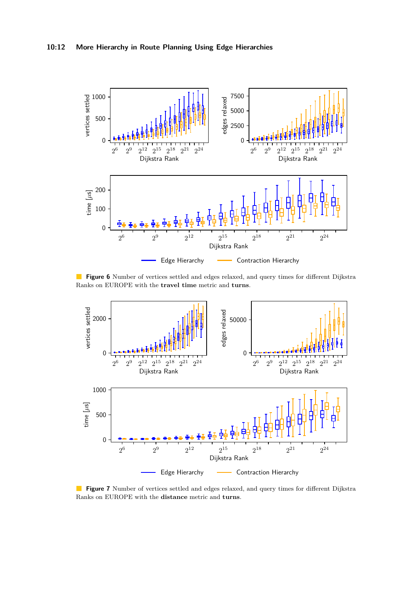<span id="page-11-0"></span>

**Figure 6** Number of vertices settled and edges relaxed, and query times for different Dijkstra Ranks on EUROPE with the **travel time** metric and **turns**.



**Figure 7** Number of vertices settled and edges relaxed, and query times for different Dijkstra Ranks on EUROPE with the **distance** metric and **turns**.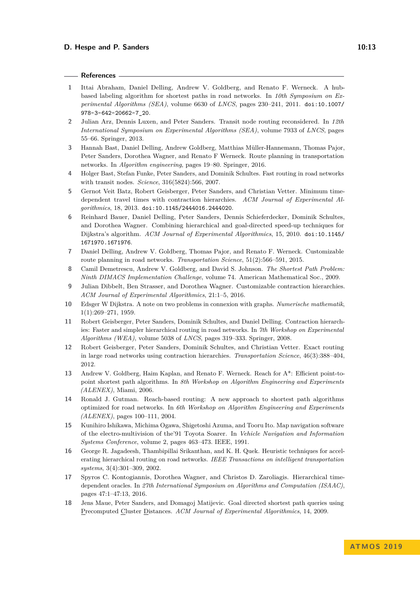#### **References**

- <span id="page-12-12"></span>**1** Ittai Abraham, Daniel Delling, Andrew V. Goldberg, and Renato F. Werneck. A hubbased labeling algorithm for shortest paths in road networks. In *10th Symposium on Experimental Algorithms (SEA)*, volume 6630 of *LNCS*, pages 230–241, 2011. [doi:10.1007/](https://doi.org/10.1007/978-3-642-20662-7_20) [978-3-642-20662-7\\_20](https://doi.org/10.1007/978-3-642-20662-7_20).
- <span id="page-12-14"></span>**2** Julian Arz, Dennis Luxen, and Peter Sanders. Transit node routing reconsidered. In *12th International Symposium on Experimental Algorithms (SEA)*, volume 7933 of *LNCS*, pages 55–66. Springer, 2013.
- <span id="page-12-1"></span>**3** Hannah Bast, Daniel Delling, Andrew Goldberg, Matthias Müller-Hannemann, Thomas Pajor, Peter Sanders, Dorothea Wagner, and Renato F Werneck. Route planning in transportation networks. In *Algorithm engineering*, pages 19–80. Springer, 2016.
- <span id="page-12-13"></span>**4** Holger Bast, Stefan Funke, Peter Sanders, and Dominik Schultes. Fast routing in road networks with transit nodes. *Science*, 316(5824):566, 2007.
- <span id="page-12-16"></span>**5** Gernot Veit Batz, Robert Geisberger, Peter Sanders, and Christian Vetter. Minimum timedependent travel times with contraction hierarchies. *ACM Journal of Experimental Algorithmics*, 18, 2013. [doi:10.1145/2444016.2444020](https://doi.org/10.1145/2444016.2444020).
- <span id="page-12-11"></span>**6** Reinhard Bauer, Daniel Delling, Peter Sanders, Dennis Schieferdecker, Dominik Schultes, and Dorothea Wagner. Combining hierarchical and goal-directed speed-up techniques for Dijkstra's algorithm. *ACM Journal of Experimental Algorithmics*, 15, 2010. [doi:10.1145/](https://doi.org/10.1145/1671970.1671976) [1671970.1671976](https://doi.org/10.1145/1671970.1671976).
- <span id="page-12-4"></span>**7** Daniel Delling, Andrew V. Goldberg, Thomas Pajor, and Renato F. Werneck. Customizable route planning in road networks. *Transportation Science*, 51(2):566–591, 2015.
- <span id="page-12-15"></span>**8** Camil Demetrescu, Andrew V. Goldberg, and David S. Johnson. *The Shortest Path Problem: Ninth DIMACS Implementation Challenge*, volume 74. American Mathematical Soc., 2009.
- <span id="page-12-7"></span>**9** Julian Dibbelt, Ben Strasser, and Dorothea Wagner. Customizable contraction hierarchies. *ACM Journal of Experimental Algorithmics*, 21:1–5, 2016.
- <span id="page-12-8"></span>**10** Edsger W Dijkstra. A note on two problems in connexion with graphs. *Numerische mathematik*, 1(1):269–271, 1959.
- <span id="page-12-6"></span>**11** Robert Geisberger, Peter Sanders, Dominik Schultes, and Daniel Delling. Contraction hierarchies: Faster and simpler hierarchical routing in road networks. In *7th Workshop on Experimental Algorithms (WEA)*, volume 5038 of *LNCS*, pages 319–333. Springer, 2008.
- <span id="page-12-0"></span>**12** Robert Geisberger, Peter Sanders, Dominik Schultes, and Christian Vetter. Exact routing in large road networks using contraction hierarchies. *Transportation Science*, 46(3):388–404, 2012.
- <span id="page-12-9"></span>**13** Andrew V. Goldberg, Haim Kaplan, and Renato F. Werneck. Reach for A\*: Efficient point-topoint shortest path algorithms. In *8th Workshop on Algorithm Engineering and Experiments (ALENEX)*, Miami, 2006.
- <span id="page-12-5"></span>**14** Ronald J. Gutman. Reach-based routing: A new approach to shortest path algorithms optimized for road networks. In *6th Workshop on Algorithm Engineering and Experiments (ALENEX)*, pages 100–111, 2004.
- <span id="page-12-2"></span>**15** Kunihiro Ishikawa, Michima Ogawa, Shigetoshi Azuma, and Tooru Ito. Map navigation software of the electro-multivision of the'91 Toyota Soarer. In *Vehicle Navigation and Information Systems Conference*, volume 2, pages 463–473. IEEE, 1991.
- <span id="page-12-3"></span>**16** George R. Jagadeesh, Thambipillai Srikanthan, and K. H. Quek. Heuristic techniques for accelerating hierarchical routing on road networks. *IEEE Transactions on intelligent transportation systems*, 3(4):301–309, 2002.
- <span id="page-12-17"></span>**17** Spyros C. Kontogiannis, Dorothea Wagner, and Christos D. Zaroliagis. Hierarchical timedependent oracles. In *27th International Symposium on Algorithms and Computation (ISAAC)*, pages 47:1–47:13, 2016.
- <span id="page-12-10"></span>**18** Jens Maue, Peter Sanders, and Domagoj Matijevic. Goal directed shortest path queries using Precomputed Cluster Distances. *ACM Journal of Experimental Algorithmics*, 14, 2009.